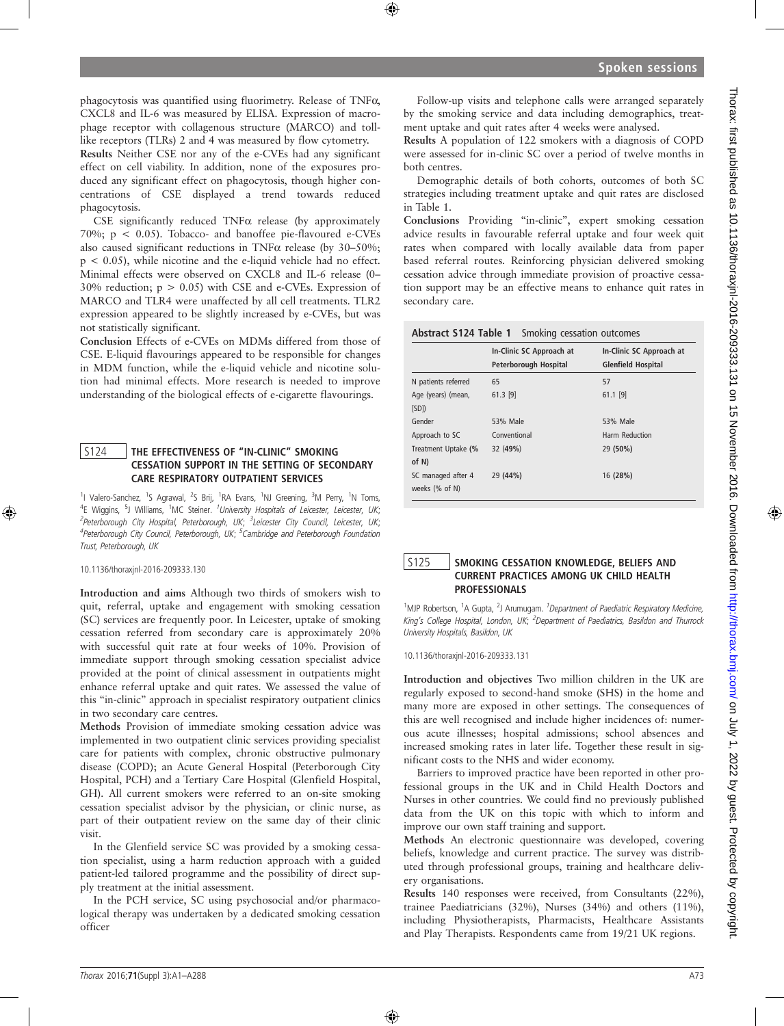phagocytosis was quantified using fluorimetry. Release of TNFa, CXCL8 and IL-6 was measured by ELISA. Expression of macrophage receptor with collagenous structure (MARCO) and tolllike receptors (TLRs) 2 and 4 was measured by flow cytometry.

Results Neither CSE nor any of the e-CVEs had any significant effect on cell viability. In addition, none of the exposures produced any significant effect on phagocytosis, though higher concentrations of CSE displayed a trend towards reduced phagocytosis.

CSE significantly reduced  $TNF\alpha$  release (by approximately 70%;  $p \le 0.05$ ). Tobacco- and banoffee pie-flavoured e-CVEs also caused significant reductions in TNF $\alpha$  release (by 30–50%; p < 0.05), while nicotine and the e-liquid vehicle had no effect. Minimal effects were observed on CXCL8 and IL-6 release (0– 30% reduction;  $p > 0.05$ ) with CSE and e-CVEs. Expression of MARCO and TLR4 were unaffected by all cell treatments. TLR2 expression appeared to be slightly increased by e-CVEs, but was not statistically significant.

Conclusion Effects of e-CVEs on MDMs differed from those of CSE. E-liquid flavourings appeared to be responsible for changes in MDM function, while the e-liquid vehicle and nicotine solution had minimal effects. More research is needed to improve understanding of the biological effects of e-cigarette flavourings.

## S124 | THE EFFECTIVENESS OF "IN-CLINIC" SMOKING CESSATION SUPPORT IN THE SETTING OF SECONDARY CARE RESPIRATORY OUTPATIENT SERVICES

<sup>1</sup>I Valero-Sanchez, <sup>1</sup>S Agrawal, <sup>2</sup>S Brij, <sup>1</sup>RA Evans, <sup>1</sup>NJ Greening, <sup>3</sup>M Perry, <sup>1</sup>N Toms, <sup>4</sup>E Wiggins, <sup>5</sup>J Williams, <sup>1</sup>MC Steiner. <sup>1</sup>University Hospitals of Leicester, Leicester, UK; <sup>2</sup> Peterborough City Hospital, Peterborough, UK; <sup>3</sup> Leicester City Council, Leicester, UK; <sup>4</sup>Peterborough City Council, Peterborough, UK; <sup>5</sup>Cambridge and Peterborough Foundation Trust, Peterborough, UK

10.1136/thoraxjnl-2016-209333.130

Introduction and aims Although two thirds of smokers wish to quit, referral, uptake and engagement with smoking cessation (SC) services are frequently poor. In Leicester, uptake of smoking cessation referred from secondary care is approximately 20% with successful quit rate at four weeks of 10%. Provision of immediate support through smoking cessation specialist advice provided at the point of clinical assessment in outpatients might enhance referral uptake and quit rates. We assessed the value of this "in-clinic" approach in specialist respiratory outpatient clinics in two secondary care centres.

Methods Provision of immediate smoking cessation advice was implemented in two outpatient clinic services providing specialist care for patients with complex, chronic obstructive pulmonary disease (COPD); an Acute General Hospital (Peterborough City Hospital, PCH) and a Tertiary Care Hospital (Glenfield Hospital, GH). All current smokers were referred to an on-site smoking cessation specialist advisor by the physician, or clinic nurse, as part of their outpatient review on the same day of their clinic visit.

In the Glenfield service SC was provided by a smoking cessation specialist, using a harm reduction approach with a guided patient-led tailored programme and the possibility of direct supply treatment at the initial assessment.

In the PCH service, SC using psychosocial and/or pharmacological therapy was undertaken by a dedicated smoking cessation officer

Follow-up visits and telephone calls were arranged separately by the smoking service and data including demographics, treatment uptake and quit rates after 4 weeks were analysed.

Results A population of 122 smokers with a diagnosis of COPD were assessed for in-clinic SC over a period of twelve months in both centres.

Demographic details of both cohorts, outcomes of both SC strategies including treatment uptake and quit rates are disclosed in Table 1.

Conclusions Providing "in-clinic", expert smoking cessation advice results in favourable referral uptake and four week quit rates when compared with locally available data from paper based referral routes. Reinforcing physician delivered smoking cessation advice through immediate provision of proactive cessation support may be an effective means to enhance quit rates in secondary care.

| Abstract S124 Table 1<br>Smoking cessation outcomes |                                                   |                                                       |
|-----------------------------------------------------|---------------------------------------------------|-------------------------------------------------------|
|                                                     | In-Clinic SC Approach at<br>Peterborough Hospital | In-Clinic SC Approach at<br><b>Glenfield Hospital</b> |
| N patients referred                                 | 65                                                | 57                                                    |
| Age (years) (mean,<br>[SD]                          | $61.3$ [9]                                        | $61.1$ [9]                                            |
| Gender                                              | 53% Male                                          | 53% Male                                              |
| Approach to SC                                      | Conventional                                      | Harm Reduction                                        |
| Treatment Uptake (%<br>of N)                        | 32 (49%)                                          | 29 (50%)                                              |
| SC managed after 4<br>weeks (% of N)                | 29 (44%)                                          | 16 (28%)                                              |

# S125 SMOKING CESSATION KNOWLEDGE, BELIEFS AND CURRENT PRACTICES AMONG UK CHILD HEALTH PROFESSIONALS

<sup>1</sup>MJP Robertson, <sup>1</sup>A Gupta, <sup>2</sup>J Arumugam. <sup>1</sup>Department of Paediatric Respiratory Medicine, King's College Hospital, London, UK; <sup>2</sup>Department of Paediatrics, Basildon and Thurrock University Hospitals, Basildon, UK

10.1136/thoraxjnl-2016-209333.131

Introduction and objectives Two million children in the UK are regularly exposed to second-hand smoke (SHS) in the home and many more are exposed in other settings. The consequences of this are well recognised and include higher incidences of: numerous acute illnesses; hospital admissions; school absences and increased smoking rates in later life. Together these result in significant costs to the NHS and wider economy.

Barriers to improved practice have been reported in other professional groups in the UK and in Child Health Doctors and Nurses in other countries. We could find no previously published data from the UK on this topic with which to inform and improve our own staff training and support.

Methods An electronic questionnaire was developed, covering beliefs, knowledge and current practice. The survey was distributed through professional groups, training and healthcare delivery organisations.

Results 140 responses were received, from Consultants (22%), trainee Paediatricians (32%), Nurses (34%) and others (11%), including Physiotherapists, Pharmacists, Healthcare Assistants and Play Therapists. Respondents came from 19/21 UK regions.